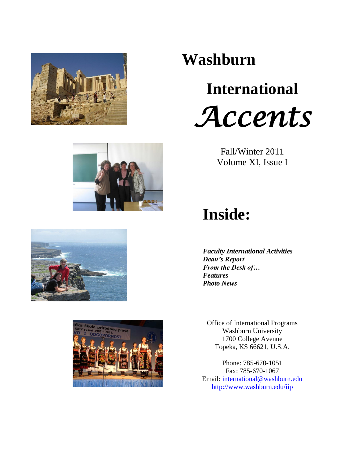



# **International**  *Accents*





## **Inside:**

*Faculty International Activities Dean's Report From the Desk of… Features Photo News*

Office of International Programs Washburn University 1700 College Avenue Topeka, KS 66621, U.S.A.

Phone: 785-670-1051 Fax: 785-670-1067 Email: [international@washburn.edu](mailto:international@washburn.edu) <http://www.washburn.edu/iip>





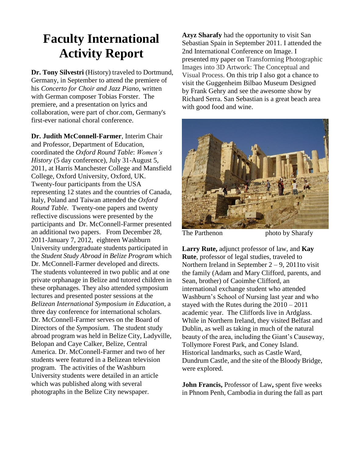### **Faculty International Activity Report**

**Dr. Tony Silvestri** (History) traveled to Dortmund, Germany, in September to attend the premiere of his *Concerto for Choir and Jazz Piano*, written with German composer Tobias Forster. The premiere, and a presentation on lyrics and collaboration, were part of chor.com, Germany's first-ever national choral conference.

**Dr. Judith McConnell-Farmer**, Interim Chair and Professor, Department of Education, coordinated the *Oxford Round Table*: *Women's History* (5 day conference), July 31-August 5, 2011, at Harris Manchester College and Mansfield College, Oxford University, Oxford, UK. Twenty-four participants from the USA representing 12 states and the countries of Canada, Italy, Poland and Taiwan attended the *Oxford Round Table*. Twenty-one papers and twenty reflective discussions were presented by the participants and Dr. McConnell-Farmer presented an additional two papers. From December 28, 2011-January 7, 2012, eighteen Washburn University undergraduate students participated in the *Student Study Abroad in Belize Program* which Dr. McConnell-Farmer developed and directs. The students volunteered in two public and at one private orphanage in Belize and tutored children in these orphanages. They also attended symposium lectures and presented poster sessions at the *Belizean International Symposium in Education*, a three day conference for international scholars. Dr. McConnell-Farmer serves on the Board of Directors of the *Symposium*. The student study abroad program was held in Belize City, Ladyville, Belopan and Caye Calker, Belize, Central America. Dr. McConnell-Farmer and two of her students were featured in a Belizean television program. The activities of the Washburn University students were detailed in an article which was published along with several photographs in the Belize City newspaper.

**Azyz Sharafy** had the opportunity to visit San Sebastian Spain in September 2011. I attended the 2nd International Conference on Image. I presented my paper on Transforming Photographic Images into 3D Artwork: The Conceptual and Visual Process. On this trip I also got a chance to visit the Guggenheim Bilbao Museum Designed by Frank Gehry and see the awesome show by Richard Serra. San Sebastian is a great beach area with good food and wine.



The Parthenon photo by Sharafy **Larry Rute,** adjunct professor of law, and **Kay Rute**, professor of legal studies, traveled to Northern Ireland in September  $2 - 9$ , 2011to visit the family (Adam and Mary Clifford, parents, and Sean, brother) of Caoimhe Clifford, an international exchange student who attended Washburn's School of Nursing last year and who stayed with the Rutes during the 2010 – 2011 academic year. The Cliffords live in Ardglass. While in Northern Ireland, they visited Belfast and

Dublin, as well as taking in much of the natural beauty of the area, including the Giant's Causeway, Tollymore Forest Park, and Coney Island. Historical landmarks, such as Castle Ward, Dundrum Castle, and the site of the Bloody Bridge, were explored.

**John Francis,** Professor of Law**,** spent five weeks in Phnom Penh, Cambodia in during the fall as part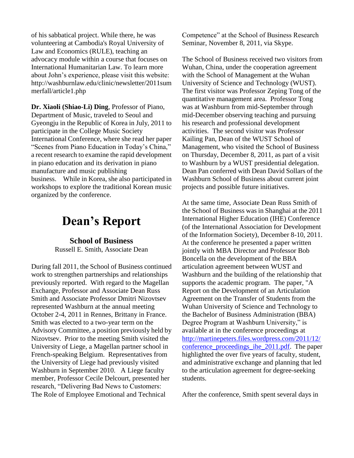of his sabbatical project. While there, he was volunteering at Cambodia's Royal University of Law and Economics (RULE), teaching an advocacy module within a course that focuses on International Humanitarian Law. To learn more about John's experience, please visit this website: http://washburnlaw.edu/clinic/newsletter/2011sum merfall/article1.php

**Dr. Xiaoli (Shiao-Li) Ding**, Professor of Piano, Department of Music, traveled to Seoul and Gyeongju in the Republic of Korea in July, 2011 to participate in the College Music Society International Conference, where she read her paper "Scenes from Piano Education in Today's China," a recent research to examine the rapid development in piano education and its derivation in piano manufacture and music publishing business. While in Korea, she also participated in workshops to explore the traditional Korean music organized by the conference.

### **Dean's Report**

**School of Business**  Russell E. Smith, Associate Dean

During fall 2011, the School of Business continued work to strengthen partnerships and relationships previously reported. With regard to the Magellan Exchange, Professor and Associate Dean Russ Smith and Associate Professor Dmitri Nizovtsev represented Washburn at the annual meeting October 2-4, 2011 in Rennes, Brittany in France. Smith was elected to a two-year term on the Advisory Committee, a position previously held by Nizovtsev. Prior to the meeting Smith visited the University of Liege, a Magellan partner school in French-speaking Belgium. Representatives from the University of Liege had previously visited Washburn in September 2010. A Liege faculty member, Professor Cecile Delcourt, presented her research, "Delivering Bad News to Customers: The Role of Employee Emotional and Technical

Competence" at the School of Business Research Seminar, November 8, 2011, via Skype.

The School of Business received two visitors from Wuhan, China, under the cooperation agreement with the School of Management at the Wuhan University of Science and Technology (WUST). The first visitor was Professor Zeping Tong of the quantitative management area. Professor Tong was at Washburn from mid-September through mid-December observing teaching and pursuing his research and professional development activities. The second visitor was Professor Kailing Pan, Dean of the WUST School of Management, who visited the School of Business on Thursday, December 8, 2011, as part of a visit to Washburn by a WUST presidential delegation. Dean Pan conferred with Dean David Sollars of the Washburn School of Business about current joint projects and possible future initiatives.

At the same time, Associate Dean Russ Smith of the School of Business was in Shanghai at the 2011 International Higher Education (IHE) Conference (of the International Association for Development of the Information Society), December 8-10, 2011. At the conference he presented a paper written jointly with MBA Director and Professor Bob Boncella on the development of the BBA articulation agreement between WUST and Washburn and the building of the relationship that supports the academic program. The paper, "A Report on the Development of an Articulation Agreement on the Transfer of Students from the Wuhan University of Science and Technology to the Bachelor of Business Administration (BBA) Degree Program at Washburn University," is available at in the conference proceedings at [http://martinepeters.files.wordpress.com/2011/12/](http://martinepeters.files.wordpress.com/2011/12/conference_proceedings_ihe_2011.pdf) conference proceedings ihe 2011.pdf. The paper highlighted the over five years of faculty, student, and administrative exchange and planning that led to the articulation agreement for degree-seeking students.

After the conference, Smith spent several days in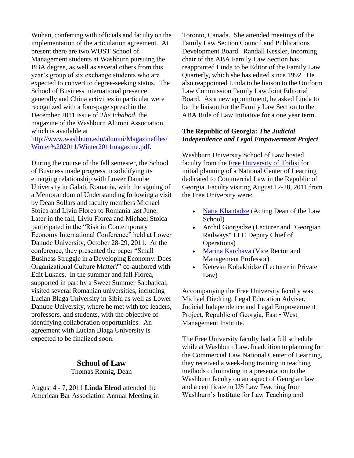Wuhan, conferring with officials and faculty on the implementation of the articulation agreement. At present there are two WUST School of Management students at Washburn pursuing the BBA degree, as well as several others from this year's group of six exchange students who are expected to convert to degree-seeking status. The School of Business international presence generally and China activities in particular were recognized with a four-page spread in the December 2011 issue of *The Ichabod*, the magazine of the Washburn Alumni Association, which is available at

[http://www.washburn.edu/alumni/Magazinefiles/](http://www.washburn.edu/alumni/Magazinefiles/Winter%202011/Winter2011magazine.pdf) [Winter%202011/Winter2011magazine.pdf.](http://www.washburn.edu/alumni/Magazinefiles/Winter%202011/Winter2011magazine.pdf)

During the course of the fall semester, the School of Business made progress in solidifying its emerging relationship with Lower Danube University in Galati, Romania, with the signing of a Memorandum of Understanding following a visit by Dean Sollars and faculty members Michael Stoica and Liviu Florea to Romania last June. Later in the fall, Liviu Florea and Michael Stoica participated in the "Risk in Contemporary Economy International Conference" held at Lower Danude University, October 28-29, 2011. At the conference, they presented the paper "Small Business Struggle in a Developing Economy: Does Organizational Culture Matter?" co-authored with Edit Lukacs. In the summer and fall Florea, supported in part by a Sweet Summer Sabbatical, visited several Romanian universities, including Lucian Blaga University in Sibiu as well as Lower Danube University, where he met with top leaders, professors, and students, with the objective of identifying collaboration opportunities. An agreement with Lucian Blaga University is expected to be finalized soon.

#### **School of Law**

Thomas Romig, Dean

August 4 - 7, 2011 **Linda Elrod** attended the American Bar Association Annual Meeting in Toronto, Canada. She attended meetings of the Family Law Section Council and Publications Development Board. Randall Kessler, incoming chair of the ABA Family Law Section has reappointed Linda to be Editor of the Family Law Quarterly, which she has edited since 1992. He also reappointed Linda to be liaison to the Uniform Law Commission Family Law Joint Editorial Board. As a new appointment, he asked Linda to be the liaison for the Family Law Section to the ABA Rule of Law Initiative for a one year term.

#### **The Republic of Georgia:** *The Judicial Independence and Legal Empowerment Project*

Washburn University School of Law hosted faculty from the [Free University of Tbilisi](http://www.freeuni.edu.ge/index.php?m=234) for initial planning of a National Center of Learning dedicated to Commercial Law in the Republic of Georgia. Faculty visiting August 12-28, 2011 from the Free University were:

- [Natia Khantadze](http://freeuni.edu.ge/index.php?m=328&lng=eng) (Acting Dean of the Law School)
- Archil Giorgadze (Lecturer and "Georgian Railways" LLC Deputy Chief of Operations)
- [Marina Karchava](http://freeuni.edu.ge/index.php?m=298&lng=eng) (Vice Rector and Management Professor)
- Ketevan Kobakhidze (Lecturer in Private Law)

Accompanying the Free University faculty was Michael Diedring, Legal Education Adviser, Judicial Independence and Legal Empowerment Project, Republic of Georgia, East • West Management Institute.

The Free University faculty had a full schedule while at Washburn Law. In addition to planning for the Commercial Law National Center of Learning, they received a week-long training in teaching methods culminating in a presentation to the Washburn faculty on an aspect of Georgian law and a certificate in US Law Teaching from Washburn's Institute for Law Teaching and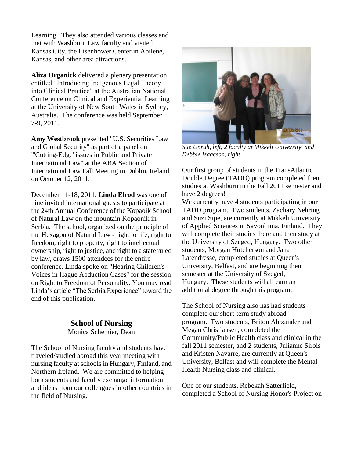Learning. They also attended various classes and met with Washburn Law faculty and visited Kansas City, the Eisenhower Center in Abilene, Kansas, and other area attractions.

**Aliza Organick** delivered a plenary presentation entitled "Introducing Indigenous Legal Theory into Clinical Practice" at the Australian National Conference on Clinical and Experiential Learning at the University of New South Wales in Sydney, Australia. The conference was held September 7-9, 2011.

**Amy Westbrook** presented "U.S. Securities Law and Global Security" as part of a panel on "'Cutting-Edge' issues in Public and Private International Law" at the ABA Section of International Law Fall Meeting in Dublin, Ireland on October 12, 2011.

December 11-18, 2011, **Linda Elrod** was one of nine invited international guests to participate at the 24th Annual Conference of the Kopaoik School of Natural Law on the mountain Kopaonik in Serbia. The school, organized on the principle of the Hexagon of Natural Law - right to life, right to freedom, right to property, right to intellectual ownership, right to justice, and right to a state ruled by law, draws 1500 attendees for the entire conference. Linda spoke on "Hearing Children's Voices in Hague Abduction Cases" for the session on Right to Freedom of Personality. You may read Linda's article "The Serbia Experience" toward the end of this publication.

#### **School of Nursing**

Monica Schemier, Dean

The School of Nursing faculty and students have traveled/studied abroad this year meeting with nursing faculty at schools in Hungary, Finland, and Northern Ireland. We are committed to helping both students and faculty exchange information and ideas from our colleagues in other countries in the field of Nursing.



*Sue Unruh, left, 2 faculty at Mikkeli University, and Debbie Isaacson, right*

Our first group of students in the TransAtlantic Double Degree (TADD) program completed their studies at Washburn in the Fall 2011 semester and have 2 degrees!

We currently have 4 students participating in our TADD program. Two students, Zachary Nehring and Suzi Sipe, are currently at Mikkeli University of Applied Sciences in Savonlinna, Finland. They will complete their studies there and then study at the University of Szeged, Hungary. Two other students, Morgan Hutcherson and Jana Latendresse, completed studies at Queen's University, Belfast, and are beginning their semester at the University of Szeged, Hungary. These students will all earn an additional degree through this program.

The School of Nursing also has had students complete our short-term study abroad program. Two students, Briton Alexander and Megan Christiansen, completed the Community/Public Health class and clinical in the fall 2011 semester, and 2 students, Julianne Sirois and Kristen Navarre, are currently at Queen's University, Belfast and will complete the Mental Health Nursing class and clinical.

One of our students, Rebekah Satterfield, completed a School of Nursing Honor's Project on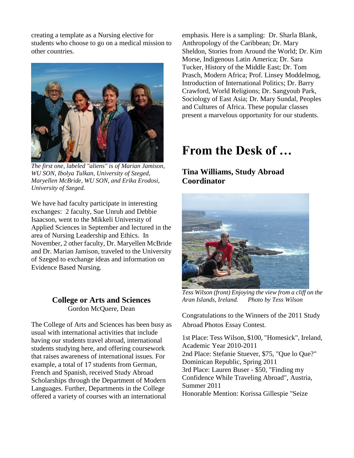creating a template as a Nursing elective for students who choose to go on a medical mission to other countries.



*The first one, labeled "aliens" is of Marian Jamison, WU SON, Ibolya Tulkan, University of Szeged, Maryellen McBride, WU SON, and Erika Erodosi, University of Szeged.*

We have had faculty participate in interesting exchanges: 2 faculty, Sue Unruh and Debbie Isaacson, went to the Mikkeli University of Applied Sciences in September and lectured in the area of Nursing Leadership and Ethics. In November, 2 other faculty, Dr. Maryellen McBride and Dr. Marian Jamison, traveled to the University of Szeged to exchange ideas and information on Evidence Based Nursing.

#### **College or Arts and Sciences** Gordon McQuere, Dean

The College of Arts and Sciences has been busy as usual with international activities that include having our students travel abroad, international students studying here, and offering coursework that raises awareness of international issues. For example, a total of 17 students from German, French and Spanish, received Study Abroad Scholarships through the Department of Modern Languages. Further, Departments in the College offered a variety of courses with an international

emphasis. Here is a sampling: Dr. Sharla Blank, Anthropology of the Caribbean; Dr. Mary Sheldon, Stories from Around the World; Dr. Kim Morse, Indigenous Latin America; Dr. Sara Tucker, History of the Middle East; Dr. Tom Prasch, Modern Africa; Prof. Linsey Moddelmog, Introduction of International Politics; Dr. Barry Crawford, World Religions; Dr. Sangyoub Park, Sociology of East Asia; Dr. Mary Sundal, Peoples and Cultures of Africa. These popular classes present a marvelous opportunity for our students.

### **From the Desk of …**

### **Tina Williams, Study Abroad Coordinator**



*Tess Wilson (front) Enjoying the view from a cliff on the Aran Islands, Ireland. Photo by Tess Wilson*

Congratulations to the Winners of the 2011 Study Abroad Photos Essay Contest.

1st Place: Tess Wilson, \$100, "Homesick", Ireland, Academic Year 2010-2011 2nd Place: Stefanie Stuever, \$75, "Que lo Que?" Dominican Republic, Spring 2011 3rd Place: Lauren Buser - \$50, "Finding my Confidence While Traveling Abroad", Austria, Summer 2011 Honorable Mention: Korissa Gillespie "Seize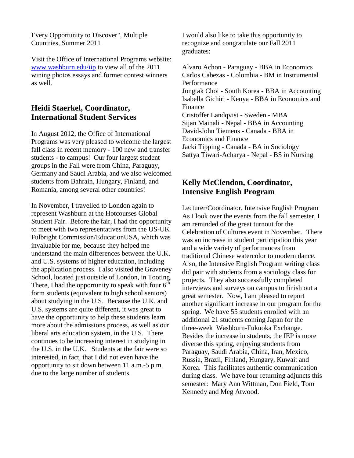Every Opportunity to Discover", Multiple Countries, Summer 2011

Visit the Office of International Programs website: [www.washburn.edu/iip](http://www.washburn.edu/iip) to view all of the 2011 wining photos essays and former contest winners as well.

### **Heidi Staerkel, Coordinator, International Student Services**

In August 2012, the Office of International Programs was very pleased to welcome the largest fall class in recent memory - 100 new and transfer students - to campus! Our four largest student groups in the Fall were from China, Paraguay, Germany and Saudi Arabia, and we also welcomed students from Bahrain, Hungary, Finland, and Romania, among several other countries!

In November, I travelled to London again to represent Washburn at the Hotcourses Global Student Fair. Before the fair, I had the opportunity to meet with two representatives from the US-UK Fulbright Commission/EducationUSA, which was invaluable for me, because they helped me understand the main differences between the U.K. and U.S. systems of higher education, including the application process. I also visited the Graveney School, located just outside of London, in Tooting. There, I had the opportunity to speak with four  $6<sup>th</sup>$ form students (equivalent to high school seniors) about studying in the U.S. Because the U.K. and U.S. systems are quite different, it was great to have the opportunity to help these students learn more about the admissions process, as well as our liberal arts education system, in the U.S. There continues to be increasing interest in studying in the U.S. in the U.K. Students at the fair were so interested, in fact, that I did not even have the opportunity to sit down between 11 a.m.-5 p.m. due to the large number of students.

I would also like to take this opportunity to recognize and congratulate our Fall 2011 graduates:

Alvaro Achon - Paraguay - BBA in Economics Carlos Cabezas - Colombia - BM in Instrumental Performance Jongtak Choi - South Korea - BBA in Accounting Isabella Gichiri - Kenya - BBA in Economics and Finance Cristoffer Landqvist - Sweden - MBA Sijan Mainali - Nepal - BBA in Accounting David-John Tiemens - Canada - BBA in Economics and Finance Jacki Tipping - Canada - BA in Sociology Sattya Tiwari-Acharya - Nepal - BS in Nursing

### **Kelly McClendon, Coordinator, Intensive English Program**

Lecturer/Coordinator, Intensive English Program As I look over the events from the fall semester, I am reminded of the great turnout for the Celebration of Cultures event in November. There was an increase in student participation this year and a wide variety of performances from traditional Chinese watercolor to modern dance. Also, the Intensive English Program writing class did pair with students from a sociology class for projects. They also successfully completed interviews and surveys on campus to finish out a great semester. Now, I am pleased to report another significant increase in our program for the spring. We have 55 students enrolled with an additional 21 students coming Japan for the three-week Washburn-Fukuoka Exchange. Besides the increase in students, the IEP is more diverse this spring, enjoying students from Paraguay, Saudi Arabia, China, Iran, Mexico, Russia, Brazil, Finland, Hungary, Kuwait and Korea. This facilitates authentic communication during class. We have four returning adjuncts this semester: Mary Ann Wittman, Don Field, Tom Kennedy and Meg Atwood.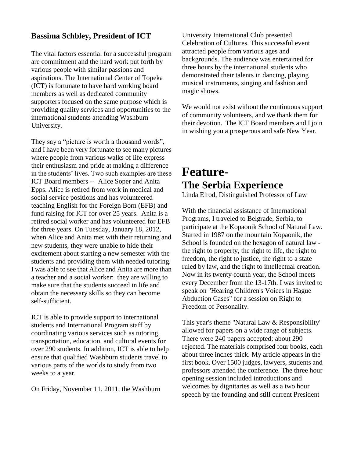### **Bassima Schbley, President of ICT**

The vital factors essential for a successful program are commitment and the hard work put forth by various people with similar passions and aspirations. The International Center of Topeka (ICT) is fortunate to have hard working board members as well as dedicated community supporters focused on the same purpose which is providing quality services and opportunities to the international students attending Washburn University.

They say a "picture is worth a thousand words", and I have been very fortunate to see many pictures where people from various walks of life express their enthusiasm and pride at making a difference in the students' lives. Two such examples are these ICT Board members -- Alice Soper and Anita Epps. Alice is retired from work in medical and social service positions and has volunteered teaching English for the Foreign Born (EFB) and fund raising for ICT for over 25 years. Anita is a retired social worker and has volunteered for EFB for three years. On Tuesday, January 18, 2012, when Alice and Anita met with their returning and new students, they were unable to hide their excitement about starting a new semester with the students and providing them with needed tutoring. I was able to see that Alice and Anita are more than a teacher and a social worker: they are willing to make sure that the students succeed in life and obtain the necessary skills so they can become self-sufficient.

ICT is able to provide support to international students and International Program staff by coordinating various services such as tutoring, transportation, education, and cultural events for over 290 students. In addition, ICT is able to help ensure that qualified Washburn students travel to various parts of the worlds to study from two weeks to a year.

On Friday, November 11, 2011, the Washburn

University International Club presented Celebration of Cultures. This successful event attracted people from various ages and backgrounds. The audience was entertained for three hours by the international students who demonstrated their talents in dancing, playing musical instruments, singing and fashion and magic shows.

We would not exist without the continuous support of community volunteers, and we thank them for their devotion. The ICT Board members and I join in wishing you a prosperous and safe New Year.

### **Feature-The Serbia Experience**

Linda Elrod, Distinguished Professor of Law

With the financial assistance of International Programs, I traveled to Belgrade, Serbia, to participate at the Kopaonik School of Natural Law. Started in 1987 on the mountain Kopaonik, the School is founded on the hexagon of natural law the right to property, the right to life, the right to freedom, the right to justice, the right to a state ruled by law, and the right to intellectual creation. Now in its twenty-fourth year, the School meets every December from the 13-17th. I was invited to speak on "Hearing Children's Voices in Hague Abduction Cases" for a session on Right to Freedom of Personality.

This year's theme "Natural Law & Responsibility" allowed for papers on a wide range of subjects. There were 240 papers accepted; about 290 rejected. The materials comprised four books, each about three inches thick. My article appears in the first book. Over 1500 judges, lawyers, students and professors attended the conference. The three hour opening session included introductions and welcomes by dignitaries as well as a two hour speech by the founding and still current President